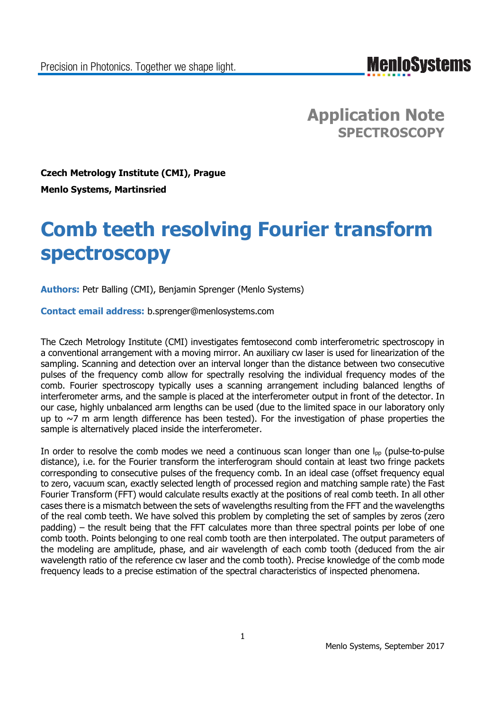**MenIoSystems** 

**Application Note SPECTROSCOPY**

**Czech Metrology Institute (CMI), Prague Menlo Systems, Martinsried**

# **Comb teeth resolving Fourier transform spectroscopy**

**Authors:** Petr Balling (CMI), Benjamin Sprenger (Menlo Systems)

**Contact email address:** b.sprenger@menlosystems.com

The Czech Metrology Institute (CMI) investigates femtosecond comb interferometric spectroscopy in a conventional arrangement with a moving mirror. An auxiliary cw laser is used for linearization of the sampling. Scanning and detection over an interval longer than the distance between two consecutive pulses of the frequency comb allow for spectrally resolving the individual frequency modes of the comb. Fourier spectroscopy typically uses a scanning arrangement including balanced lengths of interferometer arms, and the sample is placed at the interferometer output in front of the detector. In our case, highly unbalanced arm lengths can be used (due to the limited space in our laboratory only up to  $\sim$ 7 m arm length difference has been tested). For the investigation of phase properties the sample is alternatively placed inside the interferometer.

In order to resolve the comb modes we need a continuous scan longer than one  $I_{\text{pp}}$  (pulse-to-pulse distance), i.e. for the Fourier transform the interferogram should contain at least two fringe packets corresponding to consecutive pulses of the frequency comb. In an ideal case (offset frequency equal to zero, vacuum scan, exactly selected length of processed region and matching sample rate) the Fast Fourier Transform (FFT) would calculate results exactly at the positions of real comb teeth. In all other cases there is a mismatch between the sets of wavelengths resulting from the FFT and the wavelengths of the real comb teeth. We have solved this problem by completing the set of samples by zeros (zero padding) – the result being that the FFT calculates more than three spectral points per lobe of one comb tooth. Points belonging to one real comb tooth are then interpolated. The output parameters of the modeling are amplitude, phase, and air wavelength of each comb tooth (deduced from the air wavelength ratio of the reference cw laser and the comb tooth). Precise knowledge of the comb mode frequency leads to a precise estimation of the spectral characteristics of inspected phenomena.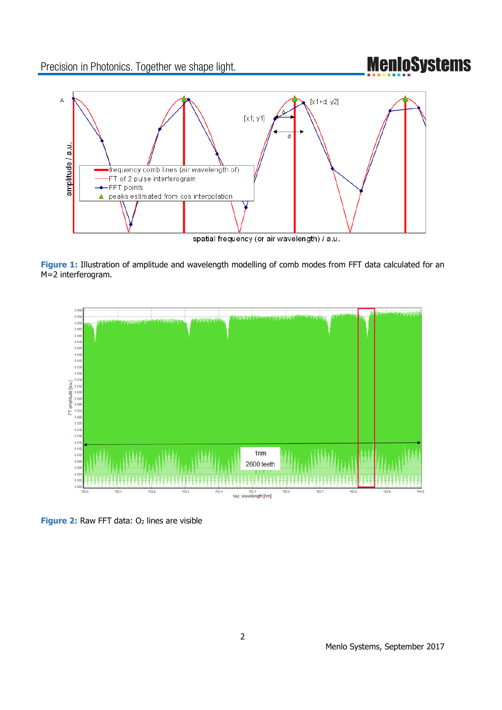Precision in Photonics. Together we shape light.

## **MenloSystems**



**Figure 1:** Illustration of amplitude and wavelength modelling of comb modes from FFT data calculated for an M=2 interferogram.



**Figure 2:** Raw FFT data: O<sub>2</sub> lines are visible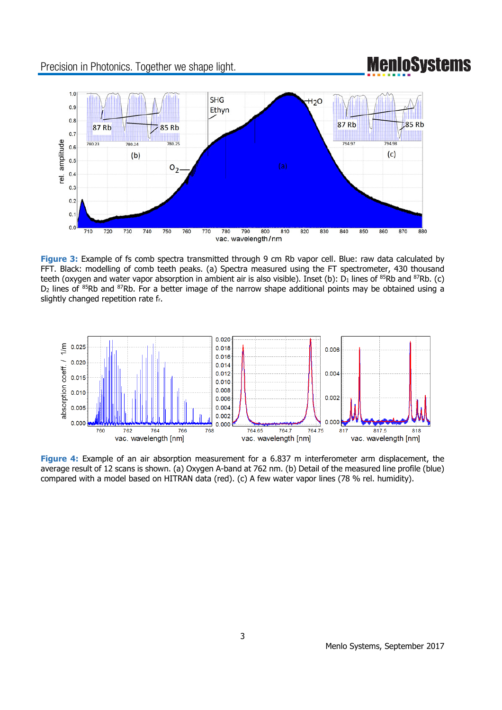Precision in Photonics. Together we shape light.

### **MenIoSystems**



**Figure 3:** Example of fs comb spectra transmitted through 9 cm Rb vapor cell. Blue: raw data calculated by FFT. Black: modelling of comb teeth peaks. (a) Spectra measured using the FT spectrometer, 430 thousand teeth (oxygen and water vapor absorption in ambient air is also visible). Inset (b):  $D_1$  lines of <sup>85</sup>Rb and <sup>87</sup>Rb. (c)  $D_2$  lines of  $85Rb$  and  $87Rb$ . For a better image of the narrow shape additional points may be obtained using a slightly changed repetition rate fr.



**Figure 4:** Example of an air absorption measurement for a 6.837 m interferometer arm displacement, the average result of 12 scans is shown. (a) Oxygen A-band at 762 nm. (b) Detail of the measured line profile (blue) compared with a model based on HITRAN data (red). (c) A few water vapor lines (78 % rel. humidity).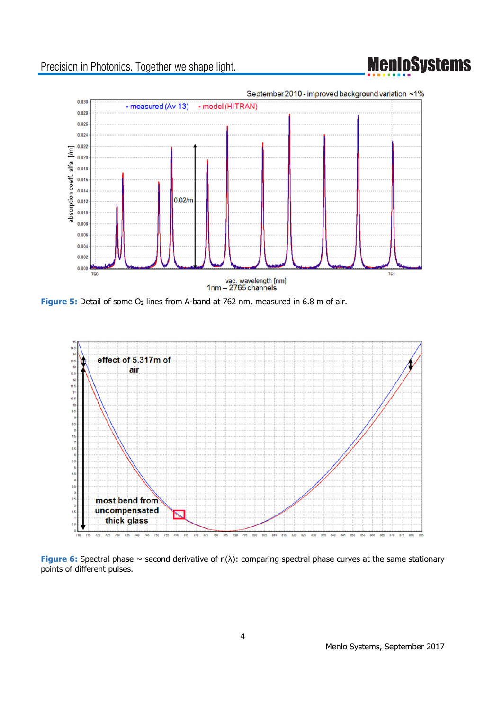## **MenioSystems**

### Precision in Photonics. Together we shape light.



**Figure 5:** Detail of some O<sub>2</sub> lines from A-band at 762 nm, measured in 6.8 m of air.



**Figure 6:** Spectral phase ~ second derivative of n(λ): comparing spectral phase curves at the same stationary points of different pulses.